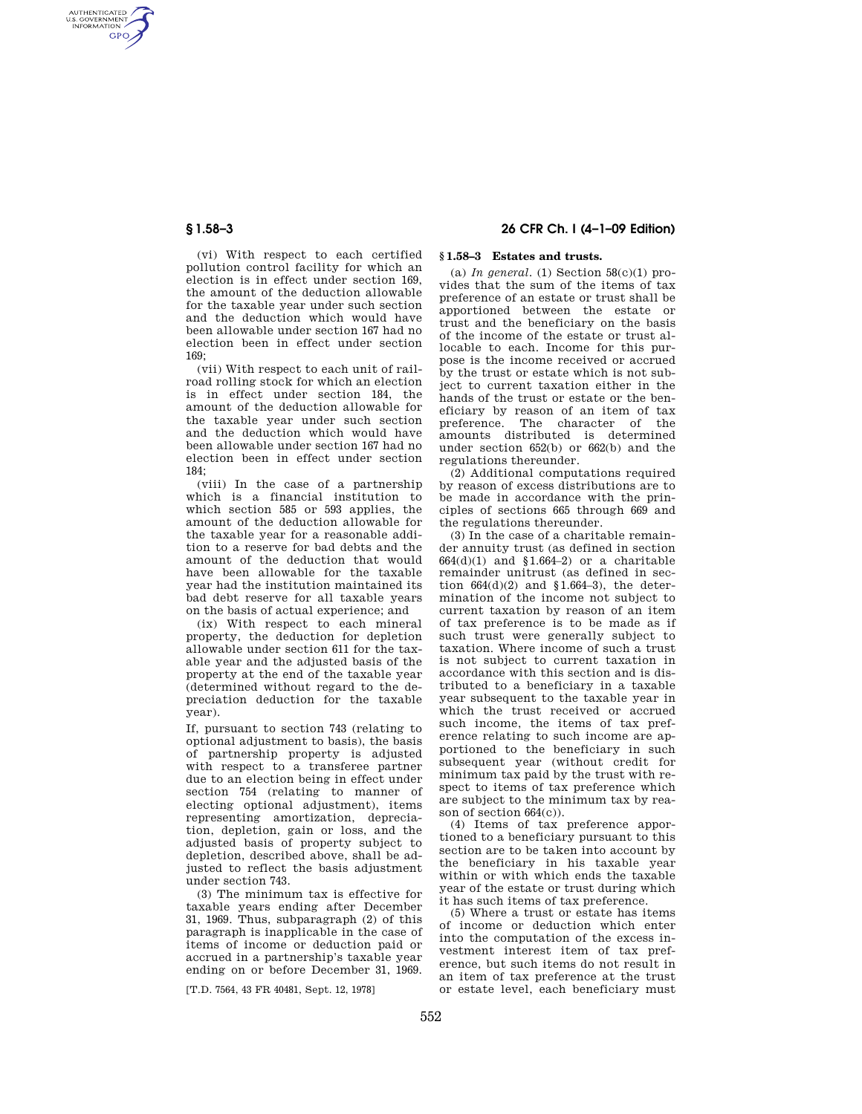AUTHENTICATED<br>U.S. GOVERNMENT<br>INFORMATION **GPO** 

> (vi) With respect to each certified pollution control facility for which an election is in effect under section 169, the amount of the deduction allowable for the taxable year under such section and the deduction which would have been allowable under section 167 had no election been in effect under section 169;

> (vii) With respect to each unit of railroad rolling stock for which an election is in effect under section 184, the amount of the deduction allowable for the taxable year under such section and the deduction which would have been allowable under section 167 had no election been in effect under section 184;

> (viii) In the case of a partnership which is a financial institution to which section 585 or 593 applies, the amount of the deduction allowable for the taxable year for a reasonable addition to a reserve for bad debts and the amount of the deduction that would have been allowable for the taxable year had the institution maintained its bad debt reserve for all taxable years on the basis of actual experience; and

> (ix) With respect to each mineral property, the deduction for depletion allowable under section 611 for the taxable year and the adjusted basis of the property at the end of the taxable year (determined without regard to the depreciation deduction for the taxable year).

> If, pursuant to section 743 (relating to optional adjustment to basis), the basis of partnership property is adjusted with respect to a transferee partner due to an election being in effect under section 754 (relating to manner of electing optional adjustment), items representing amortization, depreciation, depletion, gain or loss, and the adjusted basis of property subject to depletion, described above, shall be adjusted to reflect the basis adjustment under section 743.

> (3) The minimum tax is effective for taxable years ending after December 31, 1969. Thus, subparagraph (2) of this paragraph is inapplicable in the case of items of income or deduction paid or accrued in a partnership's taxable year ending on or before December 31, 1969.

[T.D. 7564, 43 FR 40481, Sept. 12, 1978]

# **§ 1.58–3 26 CFR Ch. I (4–1–09 Edition)**

# **§ 1.58–3 Estates and trusts.**

(a) *In general.* (1) Section  $58(c)(1)$  provides that the sum of the items of tax preference of an estate or trust shall be apportioned between the estate or trust and the beneficiary on the basis of the income of the estate or trust allocable to each. Income for this purpose is the income received or accrued by the trust or estate which is not subject to current taxation either in the hands of the trust or estate or the beneficiary by reason of an item of tax preference. The character of the amounts distributed is determined under section 652(b) or 662(b) and the regulations thereunder.

(2) Additional computations required by reason of excess distributions are to be made in accordance with the principles of sections 665 through 669 and the regulations thereunder.

(3) In the case of a charitable remainder annuity trust (as defined in section  $664(d)(1)$  and  $$1.664-2)$  or a charitable remainder unitrust (as defined in section  $664(d)(2)$  and  $$1.664-3$ ), the determination of the income not subject to current taxation by reason of an item of tax preference is to be made as if such trust were generally subject to taxation. Where income of such a trust is not subject to current taxation in accordance with this section and is distributed to a beneficiary in a taxable year subsequent to the taxable year in which the trust received or accrued such income, the items of tax preference relating to such income are apportioned to the beneficiary in such subsequent year (without credit for minimum tax paid by the trust with respect to items of tax preference which are subject to the minimum tax by reason of section 664(c)).

(4) Items of tax preference apportioned to a beneficiary pursuant to this section are to be taken into account by the beneficiary in his taxable year within or with which ends the taxable year of the estate or trust during which it has such items of tax preference.

(5) Where a trust or estate has items of income or deduction which enter into the computation of the excess investment interest item of tax preference, but such items do not result in an item of tax preference at the trust or estate level, each beneficiary must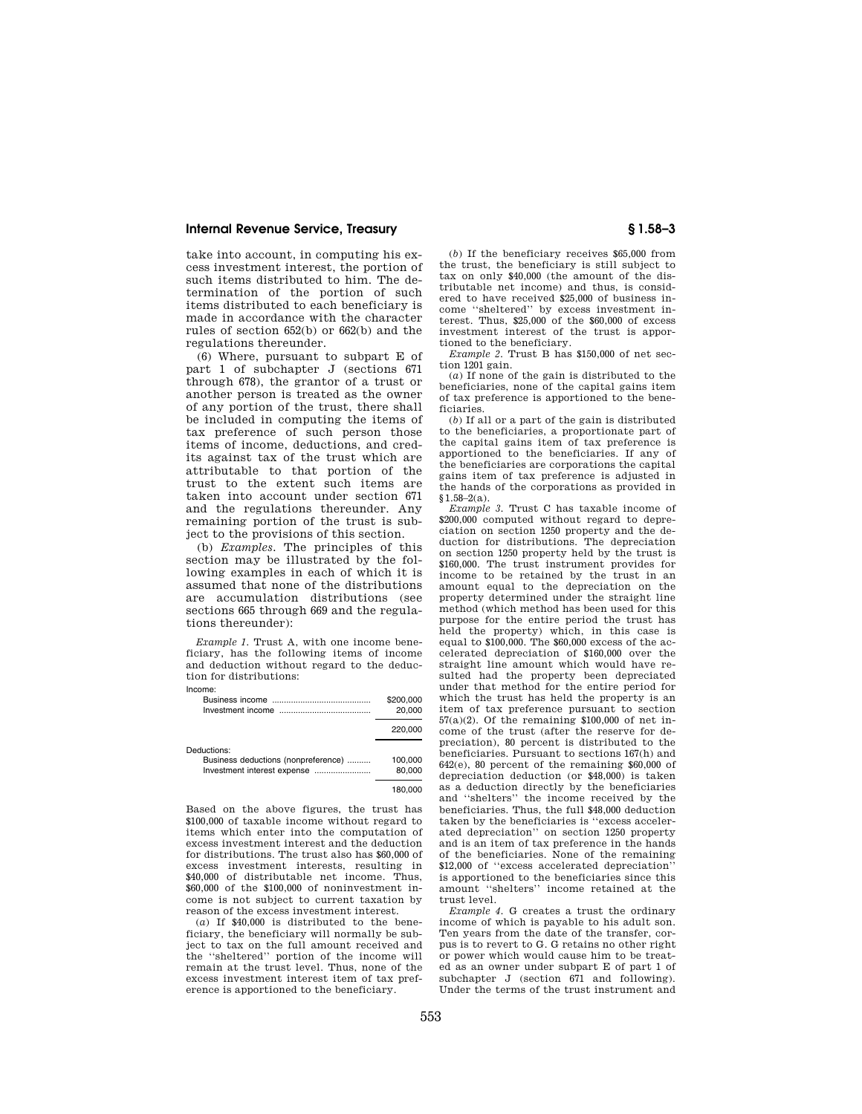## **Internal Revenue Service, Treasury § 1.58–3**

take into account, in computing his excess investment interest, the portion of such items distributed to him. The determination of the portion of such items distributed to each beneficiary is made in accordance with the character rules of section 652(b) or 662(b) and the regulations thereunder.

(6) Where, pursuant to subpart E of part 1 of subchapter J (sections 671) through 678), the grantor of a trust or another person is treated as the owner of any portion of the trust, there shall be included in computing the items of tax preference of such person those items of income, deductions, and credits against tax of the trust which are attributable to that portion of the trust to the extent such items are taken into account under section 671 and the regulations thereunder. Any remaining portion of the trust is subject to the provisions of this section.

(b) *Examples.* The principles of this section may be illustrated by the following examples in each of which it is assumed that none of the distributions are accumulation distributions (see sections 665 through 669 and the regulations thereunder):

*Example 1.* Trust A, with one income beneficiary, has the following items of income and deduction without regard to the deduction for distributions:

Income:

| псоше:                              |           |
|-------------------------------------|-----------|
|                                     | \$200,000 |
|                                     | 20,000    |
|                                     | 220,000   |
| Deductions:                         |           |
| Business deductions (nonpreference) | 100,000   |
| Investment interest expense         | 80,000    |
|                                     | 180,000   |

Based on the above figures, the trust has \$100,000 of taxable income without regard to items which enter into the computation of excess investment interest and the deduction for distributions. The trust also has \$60,000 of excess investment interests, resulting in \$40,000 of distributable net income. Thus, \$60,000 of the \$100,000 of noninvestment income is not subject to current taxation by reason of the excess investment interest.

(*a*) If \$40,000 is distributed to the beneficiary, the beneficiary will normally be subject to tax on the full amount received and the ''sheltered'' portion of the income will remain at the trust level. Thus, none of the excess investment interest item of tax preference is apportioned to the beneficiary.

(*b*) If the beneficiary receives \$65,000 from the trust, the beneficiary is still subject to tax on only \$40,000 (the amount of the distributable net income) and thus, is considered to have received \$25,000 of business income "sheltered" by excess investment interest. Thus, \$25,000 of the \$60,000 of excess investment interest of the trust is apportioned to the beneficiary.

*Example 2.* Trust B has \$150,000 of net section 1201 gain.

(*a*) If none of the gain is distributed to the beneficiaries, none of the capital gains item of tax preference is apportioned to the beneficiaries.

(*b*) If all or a part of the gain is distributed to the beneficiaries, a proportionate part of the capital gains item of tax preference is apportioned to the beneficiaries. If any of the beneficiaries are corporations the capital gains item of tax preference is adjusted in the hands of the corporations as provided in §1.58–2(a).

*Example 3.* Trust C has taxable income of \$200,000 computed without regard to depreciation on section 1250 property and the de-duction for distributions. The depreciation on section 1250 property held by the trust is \$160,000. The trust instrument provides for income to be retained by the trust in an amount equal to the depreciation on the property determined under the straight line method (which method has been used for this purpose for the entire period the trust has held the property) which, in this case is equal to \$100,000. The \$60,000 excess of the accelerated depreciation of \$160,000 over the straight line amount which would have resulted had the property been depreciated under that method for the entire period for which the trust has held the property is an item of tax preference pursuant to section 57(a)(2). Of the remaining \$100,000 of net income of the trust (after the reserve for depreciation), 80 percent is distributed to the beneficiaries. Pursuant to sections 167(h) and  $642(e)$ , 80 percent of the remaining  $$60,000$  of depreciation deduction (or \$48,000) is taken as a deduction directly by the beneficiaries and ''shelters'' the income received by the beneficiaries. Thus, the full \$48,000 deduction taken by the beneficiaries is ''excess accelerated depreciation'' on section 1250 property and is an item of tax preference in the hands of the beneficiaries. None of the remaining \$12,000 of "excess accelerated depreciation" is apportioned to the beneficiaries since this amount ''shelters'' income retained at the trust level.

*Example 4.* G creates a trust the ordinary income of which is payable to his adult son. Ten years from the date of the transfer, corpus is to revert to G. G retains no other right or power which would cause him to be treated as an owner under subpart E of part 1 of subchapter J (section 671 and following). Under the terms of the trust instrument and